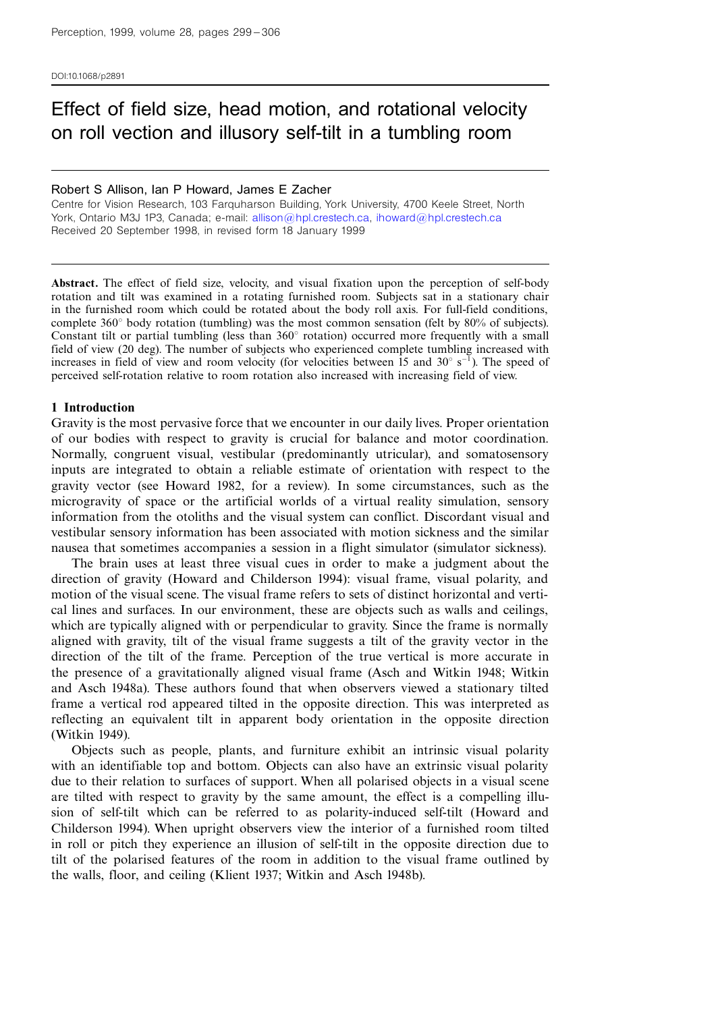DOI:10.1068/p2891

# Effect of field size, head motion, and rotational velocity on roll vection and illusory self-tilt in a tumbling room

#### Robert S Allison, Ian P Howard, James E Zacher

Centre for Vision Research, 103 Farquharson Building, York University, 4700 Keele Street, North York, Ontario M3J 1P3, Canada; e-mail: [allison@hpl.crestech.ca,](mailto:allison@hpl.crestech.ca) [ihoward@hpl.crestech.ca](mailto:ihoward@hpl.crestech.ca) Received 20 September 1998, in revised form 18 January 1999

Abstract. The effect of field size, velocity, and visual fixation upon the perception of self-body rotation and tilt was examined in a rotating furnished room. Subjects sat in a stationary chair in the furnished room which could be rotated about the body roll axis. For full-field conditions, complete  $360^{\circ}$  body rotation (tumbling) was the most common sensation (felt by  $80\%$  of subjects). Constant tilt or partial tumbling (less than  $360^\circ$  rotation) occurred more frequently with a small field of view (20 deg). The number of subjects who experienced complete tumbling increased with increases in field of view and room velocity (for velocities between 15 and  $30^{\circ}$  s<sup>-1</sup>). The speed of perceived self-rotation relative to room rotation also increased with increasing field of view.

## 1 Introduction

Gravity is the most pervasive force that we encounter in our daily lives. Proper orientation of our bodies with respect to gravity is crucial for balance and motor coordination. Normally, congruent visual, vestibular (predominantly utricular), and somatosensory inputs are integrated to obtain a reliable estimate of orientation with respect to the gravity vector (see Howard 1982, for a review). In some circumstances, such as the microgravity of space or the artificial worlds of a virtual reality simulation, sensory information from the otoliths and the visual system can conflict. Discordant visual and vestibular sensory information has been associated with motion sickness and the similar nausea that sometimes accompanies a session in a flight simulator (simulator sickness).

The brain uses at least three visual cues in order to make a judgment about the direction of gravity (Howard and Childerson 1994): visual frame, visual polarity, and motion of the visual scene. The visual frame refers to sets of distinct horizontal and vertical lines and surfaces. In our environment, these are objects such as walls and ceilings, which are typically aligned with or perpendicular to gravity. Since the frame is normally aligned with gravity, tilt of the visual frame suggests a tilt of the gravity vector in the direction of the tilt of the frame. Perception of the true vertical is more accurate in the presence of a gravitationally aligned visual frame (Asch and Witkin 1948; Witkin and Asch 1948a). These authors found that when observers viewed a stationary tilted frame a vertical rod appeared tilted in the opposite direction. This was interpreted as reflecting an equivalent tilt in apparent body orientation in the opposite direction (Witkin 1949).

Objects such as people, plants, and furniture exhibit an intrinsic visual polarity with an identifiable top and bottom. Objects can also have an extrinsic visual polarity due to their relation to surfaces of support. When all polarised objects in a visual scene are tilted with respect to gravity by the same amount, the effect is a compelling illusion of self-tilt which can be referred to as polarity-induced self-tilt (Howard and Childerson 1994). When upright observers view the interior of a furnished room tilted in roll or pitch they experience an illusion of self-tilt in the opposite direction due to tilt of the polarised features of the room in addition to the visual frame outlined by the walls, floor, and ceiling (Klient 1937; Witkin and Asch 1948b).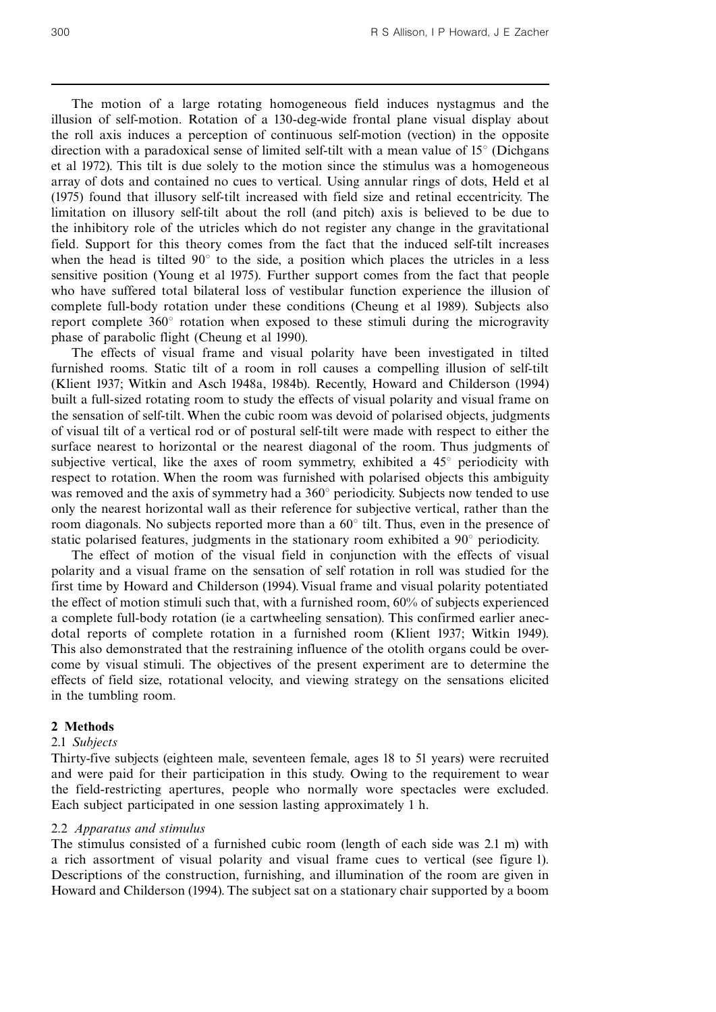The motion of a large rotating homogeneous field induces nystagmus and the illusion of self-motion. Rotation of a 130-deg-wide frontal plane visual display about the roll axis induces a perception of continuous self-motion (vection) in the opposite direction with a paradoxical sense of limited self-tilt with a mean value of  $15^{\circ}$  (Dichgans et al 1972). This tilt is due solely to the motion since the stimulus was a homogeneous array of dots and contained no cues to vertical. Using annular rings of dots, Held et al (1975) found that illusory self-tilt increased with field size and retinal eccentricity. The limitation on illusory self-tilt about the roll (and pitch) axis is believed to be due to the inhibitory role of the utricles which do not register any change in the gravitational field. Support for this theory comes from the fact that the induced self-tilt increases when the head is tilted  $90^\circ$  to the side, a position which places the utricles in a less sensitive position (Young et al 1975). Further support comes from the fact that people who have suffered total bilateral loss of vestibular function experience the illusion of complete full-body rotation under these conditions (Cheung et al 1989). Subjects also report complete  $360^{\circ}$  rotation when exposed to these stimuli during the microgravity phase of parabolic flight (Cheung et al 1990).

The effects of visual frame and visual polarity have been investigated in tilted furnished rooms. Static tilt of a room in roll causes a compelling illusion of self-tilt (Klient 1937; Witkin and Asch 1948a, 1984b). Recently, Howard and Childerson (1994) built a full-sized rotating room to study the effects of visual polarity and visual frame on the sensation of self-tilt. When the cubic room was devoid of polarised objects, judgments of visual tilt of a vertical rod or of postural self-tilt were made with respect to either the surface nearest to horizontal or the nearest diagonal of the room. Thus judgments of subjective vertical, like the axes of room symmetry, exhibited a  $45^{\circ}$  periodicity with respect to rotation. When the room was furnished with polarised objects this ambiguity was removed and the axis of symmetry had a  $360^\circ$  periodicity. Subjects now tended to use only the nearest horizontal wall as their reference for subjective vertical, rather than the room diagonals. No subjects reported more than a  $60^\circ$  tilt. Thus, even in the presence of static polarised features, judgments in the stationary room exhibited a  $90^\circ$  periodicity.

The effect of motion of the visual field in conjunction with the effects of visual polarity and a visual frame on the sensation of self rotation in roll was studied for the first time by Howard and Childerson (1994). Visual frame and visual polarity potentiated the effect of motion stimuli such that, with a furnished room, 60% of subjects experienced a complete full-body rotation (ie a cartwheeling sensation). This confirmed earlier anecdotal reports of complete rotation in a furnished room (Klient 1937; Witkin 1949). This also demonstrated that the restraining influence of the otolith organs could be overcome by visual stimuli. The objectives of the present experiment are to determine the effects of field size, rotational velocity, and viewing strategy on the sensations elicited in the tumbling room.

#### 2 Methods

#### 2.1 Subjects

Thirty-five subjects (eighteen male, seventeen female, ages 18 to 51 years) were recruited and were paid for their participation in this study. Owing to the requirement to wear the field-restricting apertures, people who normally wore spectacles were excluded. Each subject participated in one session lasting approximately 1 h.

#### 2.2 Apparatus and stimulus

The stimulus consisted of a furnished cubic room (length of each side was 2.1 m) with a rich assortment of visual polarity and visual frame cues to vertical (see figure 1). Descriptions of the construction, furnishing, and illumination of the room are given in Howard and Childerson (1994). The subject sat on a stationary chair supported by a boom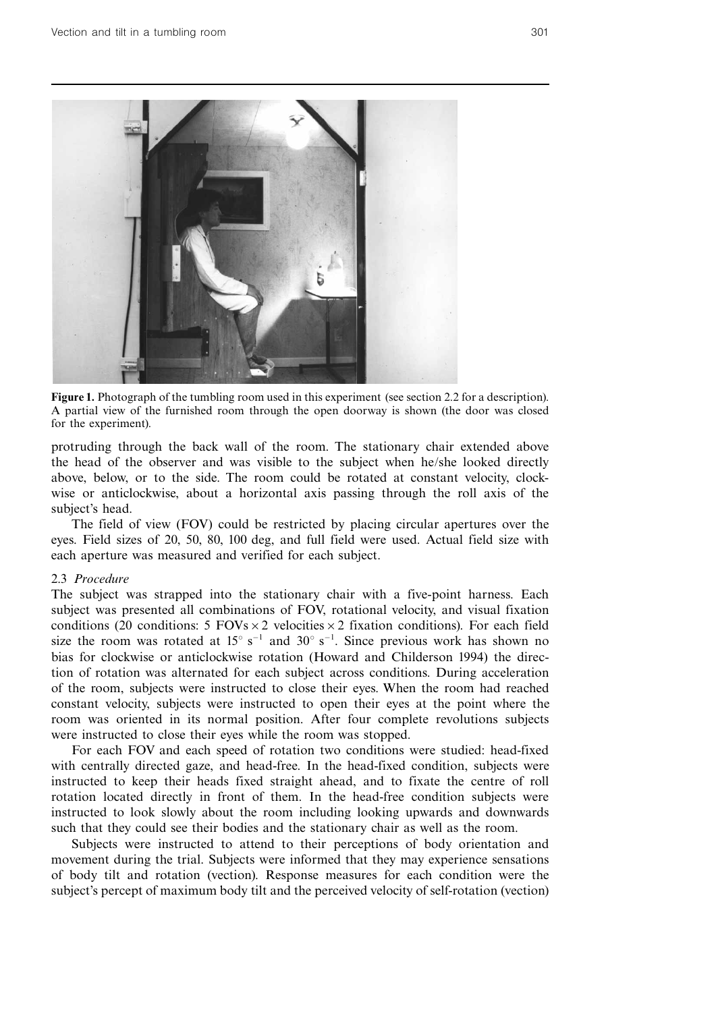

Figure 1. Photograph of the tumbling room used in this experiment (see section 2.2 for a description). A partial view of the furnished room through the open doorway is shown (the door was closed for the experiment).

protruding through the back wall of the room. The stationary chair extended above the head of the observer and was visible to the subject when he/she looked directly above, below, or to the side. The room could be rotated at constant velocity, clockwise or anticlockwise, about a horizontal axis passing through the roll axis of the subject's head.

The field of view (FOV) could be restricted by placing circular apertures over the eyes. Field sizes of 20, 50, 80, 100 deg, and full field were used. Actual field size with each aperture was measured and verified for each subject.

## 2.3 Procedure

The subject was strapped into the stationary chair with a five-point harness. Each subject was presented all combinations of FOV, rotational velocity, and visual fixation conditions (20 conditions: 5 FOVs  $\times$  2 velocities  $\times$  2 fixation conditions). For each field size the room was rotated at  $15^{\circ}$  s<sup>-1</sup> and  $30^{\circ}$  s<sup>-1</sup>. Since previous work has shown no bias for clockwise or anticlockwise rotation (Howard and Childerson 1994) the direction of rotation was alternated for each subject across conditions. During acceleration of the room, subjects were instructed to close their eyes. When the room had reached constant velocity, subjects were instructed to open their eyes at the point where the room was oriented in its normal position. After four complete revolutions subjects were instructed to close their eyes while the room was stopped.

For each FOV and each speed of rotation two conditions were studied: head-fixed with centrally directed gaze, and head-free. In the head-fixed condition, subjects were instructed to keep their heads fixed straight ahead, and to fixate the centre of roll rotation located directly in front of them. In the head-free condition subjects were instructed to look slowly about the room including looking upwards and downwards such that they could see their bodies and the stationary chair as well as the room.

Subjects were instructed to attend to their perceptions of body orientation and movement during the trial. Subjects were informed that they may experience sensations of body tilt and rotation (vection). Response measures for each condition were the subject's percept of maximum body tilt and the perceived velocity of self-rotation (vection)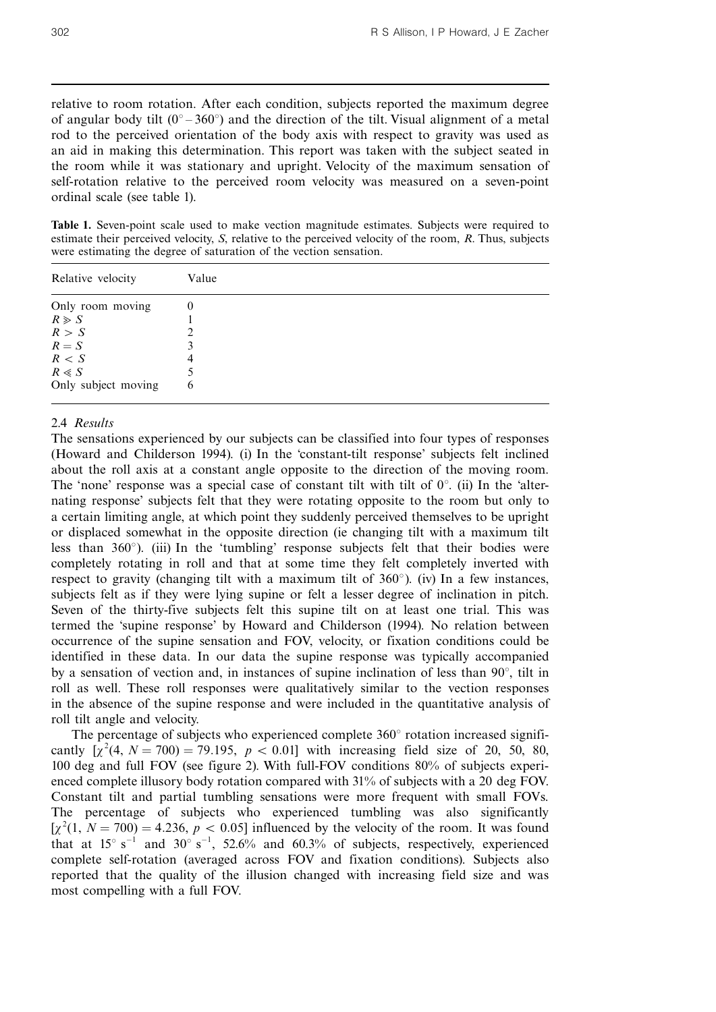relative to room rotation. After each condition, subjects reported the maximum degree of angular body tilt  $(0^\circ - 360^\circ)$  and the direction of the tilt. Visual alignment of a metal rod to the perceived orientation of the body axis with respect to gravity was used as an aid in making this determination. This report was taken with the subject seated in the room while it was stationary and upright. Velocity of the maximum sensation of self-rotation relative to the perceived room velocity was measured on a seven-point ordinal scale (see table 1).

Table 1. Seven-point scale used to make vection magnitude estimates. Subjects were required to estimate their perceived velocity, S, relative to the perceived velocity of the room, R. Thus, subjects were estimating the degree of saturation of the vection sensation.

| Relative velocity   | Value  |  |
|---------------------|--------|--|
| Only room moving    | $_{0}$ |  |
| $R \ge S$           |        |  |
| R > S               |        |  |
| $R = S$             |        |  |
| R < S               | 4      |  |
| $R \ll S$           |        |  |
| Only subject moving | 6      |  |

# 2.4 Results

The sensations experienced by our subjects can be classified into four types of responses (Howard and Childerson 1994). (i) In the `constant-tilt response' subjects felt inclined about the roll axis at a constant angle opposite to the direction of the moving room. The 'none' response was a special case of constant tilt with tilt of  $0^{\circ}$ . (ii) In the 'alternating response' subjects felt that they were rotating opposite to the room but only to a certain limiting angle, at which point they suddenly perceived themselves to be upright or displaced somewhat in the opposite direction (ie changing tilt with a maximum tilt less than 360°). (iii) In the 'tumbling' response subjects felt that their bodies were completely rotating in roll and that at some time they felt completely inverted with respect to gravity (changing tilt with a maximum tilt of  $360^{\circ}$ ). (iv) In a few instances, subjects felt as if they were lying supine or felt a lesser degree of inclination in pitch. Seven of the thirty-five subjects felt this supine tilt on at least one trial. This was termed the `supine response' by Howard and Childerson (1994). No relation between occurrence of the supine sensation and FOV, velocity, or fixation conditions could be identified in these data. In our data the supine response was typically accompanied by a sensation of vection and, in instances of supine inclination of less than  $90^\circ$ , tilt in roll as well. These roll responses were qualitatively similar to the vection responses in the absence of the supine response and were included in the quantitative analysis of roll tilt angle and velocity.

The percentage of subjects who experienced complete  $360^\circ$  rotation increased significantly  $[x^2(4, N = 700) = 79.195, p < 0.01]$  with increasing field size of 20, 50, 80, 100 deg and full FOV (see figure 2). With full-FOV conditions 80% of subjects experienced complete illusory body rotation compared with 31% of subjects with a 20 deg FOV. Constant tilt and partial tumbling sensations were more frequent with small FOVs. The percentage of subjects who experienced tumbling was also significantly  $[\chi^2(1, N = 700) = 4.236, p < 0.05]$  influenced by the velocity of the room. It was found that at  $15^{\circ}$  s<sup>-1</sup> and  $30^{\circ}$  s<sup>-1</sup>, 52.6% and 60.3% of subjects, respectively, experienced complete self-rotation (averaged across FOV and fixation conditions). Subjects also reported that the quality of the illusion changed with increasing field size and was most compelling with a full FOV.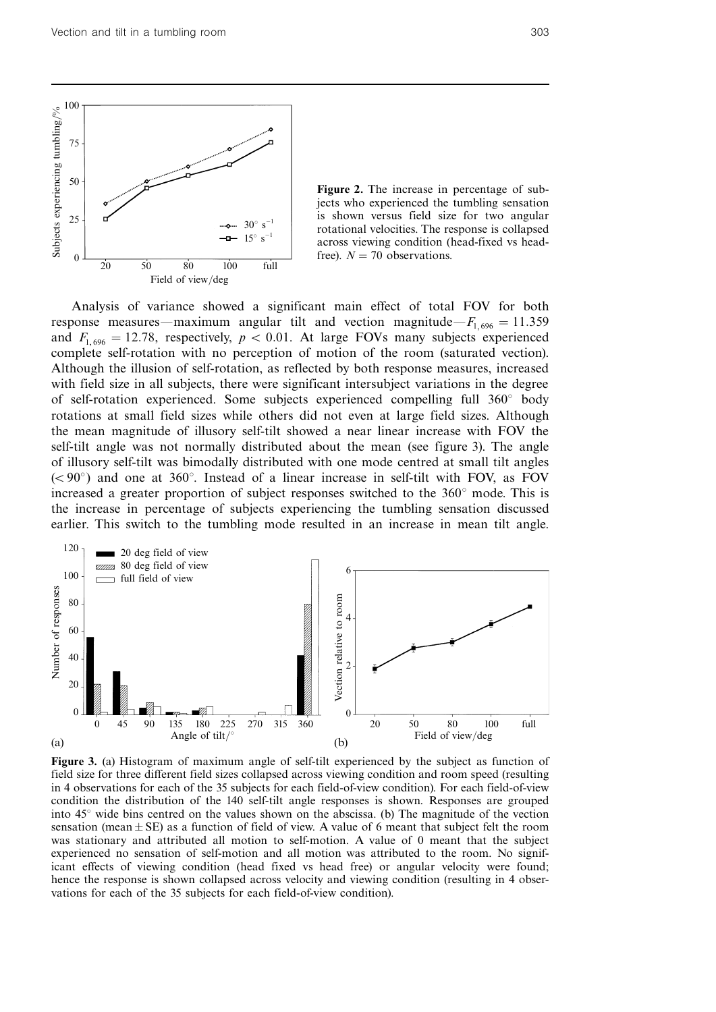

Figure 2. The increase in percentage of subjects who experienced the tumbling sensation is shown versus field size for two angular rotational velocities. The response is collapsed across viewing condition (head-fixed vs headfree).  $N = 70$  observations.

Analysis of variance showed a significant main effect of total FOV for both response measures—maximum angular tilt and vection magnitude— $F_{1,696} = 11.359$ and  $F_{1,696} = 12.78$ , respectively,  $p < 0.01$ . At large FOVs many subjects experienced complete self-rotation with no perception of motion of the room (saturated vection). Although the illusion of self-rotation, as reflected by both response measures, increased with field size in all subjects, there were significant intersubject variations in the degree of self-rotation experienced. Some subjects experienced compelling full  $360^\circ$  body rotations at small field sizes while others did not even at large field sizes. Although the mean magnitude of illusory self-tilt showed a near linear increase with FOV the self-tilt angle was not normally distributed about the mean (see figure 3). The angle of illusory self-tilt was bimodally distributed with one mode centred at small tilt angles  $(< 90^{\circ})$  and one at 360°. Instead of a linear increase in self-tilt with FOV, as FOV increased a greater proportion of subject responses switched to the  $360^\circ$  mode. This is the increase in percentage of subjects experiencing the tumbling sensation discussed earlier. This switch to the tumbling mode resulted in an increase in mean tilt angle.



Figure 3. (a) Histogram of maximum angle of self-tilt experienced by the subject as function of field size for three different field sizes collapsed across viewing condition and room speed (resulting in 4 observations for each of the 35 subjects for each field-of-view condition). For each field-of-view condition the distribution of the 140 self-tilt angle responses is shown. Responses are grouped into  $45^\circ$  wide bins centred on the values shown on the abscissa. (b) The magnitude of the vection sensation (mean  $\pm$  SE) as a function of field of view. A value of 6 meant that subject felt the room was stationary and attributed all motion to self-motion. A value of 0 meant that the subject experienced no sensation of self-motion and all motion was attributed to the room. No significant effects of viewing condition (head fixed vs head free) or angular velocity were found; hence the response is shown collapsed across velocity and viewing condition (resulting in 4 observations for each of the 35 subjects for each field-of-view condition).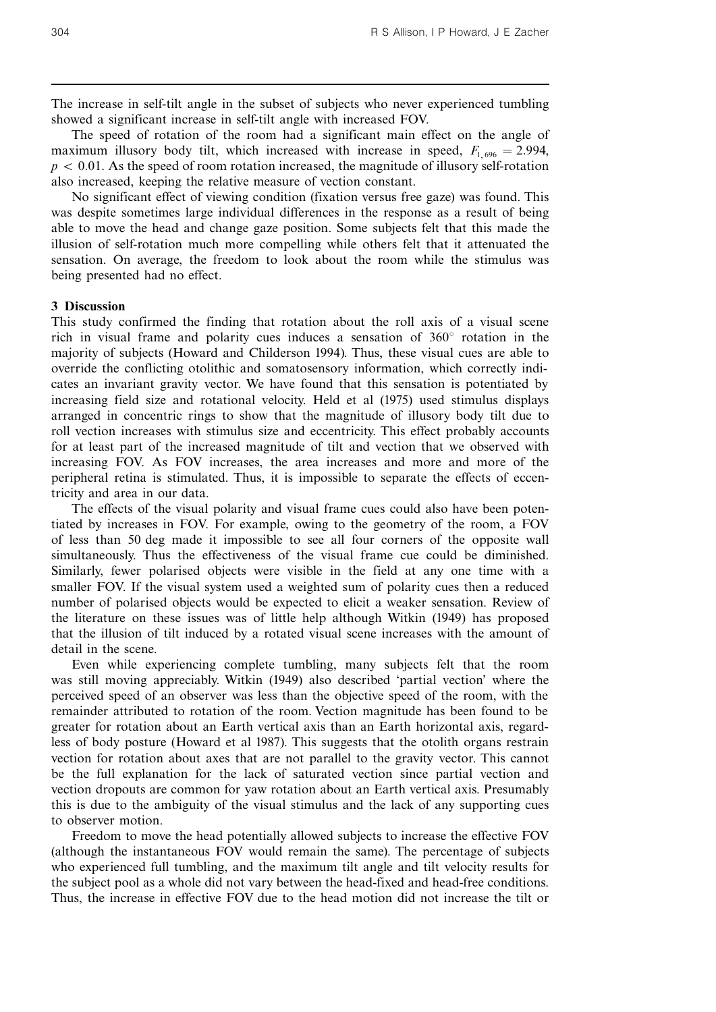The increase in self-tilt angle in the subset of subjects who never experienced tumbling showed a significant increase in self-tilt angle with increased FOV.

The speed of rotation of the room had a significant main effect on the angle of maximum illusory body tilt, which increased with increase in speed,  $F_{1,696} = 2.994$ ,  $p < 0.01$ . As the speed of room rotation increased, the magnitude of illusory self-rotation also increased, keeping the relative measure of vection constant.

No significant effect of viewing condition (fixation versus free gaze) was found. This was despite sometimes large individual differences in the response as a result of being able to move the head and change gaze position. Some subjects felt that this made the illusion of self-rotation much more compelling while others felt that it attenuated the sensation. On average, the freedom to look about the room while the stimulus was being presented had no effect.

## 3 Discussion

This study confirmed the finding that rotation about the roll axis of a visual scene rich in visual frame and polarity cues induces a sensation of  $360^{\circ}$  rotation in the majority of subjects (Howard and Childerson 1994). Thus, these visual cues are able to override the conflicting otolithic and somatosensory information, which correctly indicates an invariant gravity vector. We have found that this sensation is potentiated by increasing field size and rotational velocity. Held et al (1975) used stimulus displays arranged in concentric rings to show that the magnitude of illusory body tilt due to roll vection increases with stimulus size and eccentricity. This effect probably accounts for at least part of the increased magnitude of tilt and vection that we observed with increasing FOV. As FOV increases, the area increases and more and more of the peripheral retina is stimulated. Thus, it is impossible to separate the effects of eccentricity and area in our data.

The effects of the visual polarity and visual frame cues could also have been potentiated by increases in FOV. For example, owing to the geometry of the room, a FOV of less than 50 deg made it impossible to see all four corners of the opposite wall simultaneously. Thus the effectiveness of the visual frame cue could be diminished. Similarly, fewer polarised objects were visible in the field at any one time with a smaller FOV. If the visual system used a weighted sum of polarity cues then a reduced number of polarised objects would be expected to elicit a weaker sensation. Review of the literature on these issues was of little help although Witkin (1949) has proposed that the illusion of tilt induced by a rotated visual scene increases with the amount of detail in the scene.

Even while experiencing complete tumbling, many subjects felt that the room was still moving appreciably. Witkin (1949) also described `partial vection' where the perceived speed of an observer was less than the objective speed of the room, with the remainder attributed to rotation of the room. Vection magnitude has been found to be greater for rotation about an Earth vertical axis than an Earth horizontal axis, regardless of body posture (Howard et al 1987). This suggests that the otolith organs restrain vection for rotation about axes that are not parallel to the gravity vector. This cannot be the full explanation for the lack of saturated vection since partial vection and vection dropouts are common for yaw rotation about an Earth vertical axis. Presumably this is due to the ambiguity of the visual stimulus and the lack of any supporting cues to observer motion.

Freedom to move the head potentially allowed subjects to increase the effective FOV (although the instantaneous FOV would remain the same). The percentage of subjects who experienced full tumbling, and the maximum tilt angle and tilt velocity results for the subject pool as a whole did not vary between the head-fixed and head-free conditions. Thus, the increase in effective FOV due to the head motion did not increase the tilt or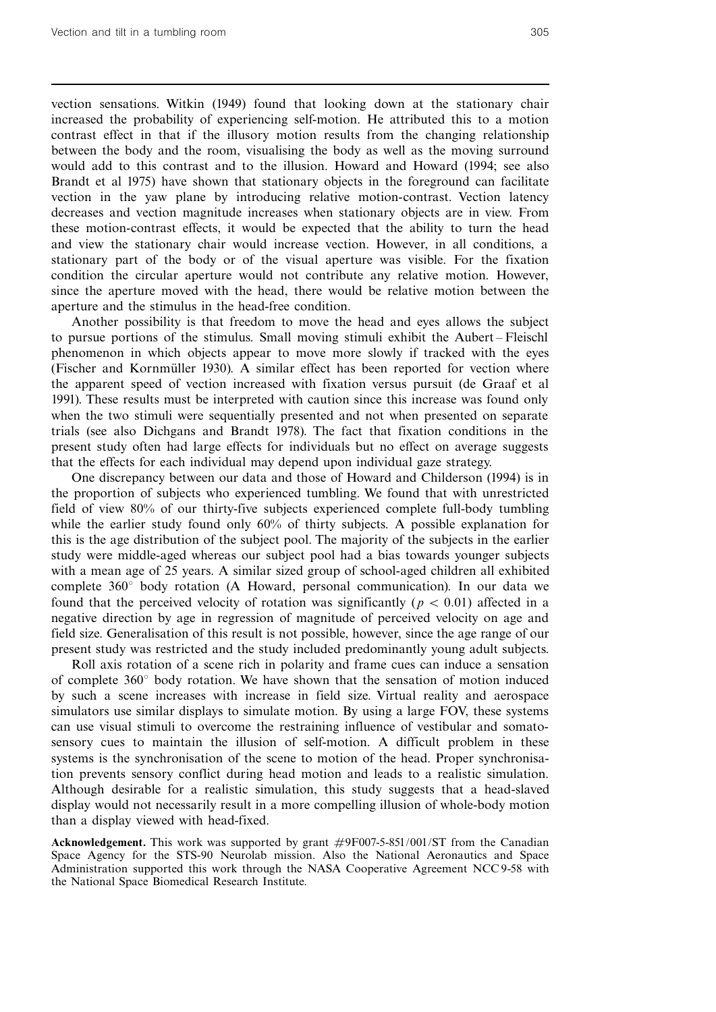vection sensations. Witkin (1949) found that looking down at the stationary chair increased the probability of experiencing self-motion. He attributed this to a motion contrast effect in that if the illusory motion results from the changing relationship between the body and the room, visualising the body as well as the moving surround would add to this contrast and to the illusion. Howard and Howard (1994; see also Brandt et al 1975) have shown that stationary objects in the foreground can facilitate vection in the yaw plane by introducing relative motion-contrast. Vection latency decreases and vection magnitude increases when stationary objects are in view. From these motion-contrast effects, it would be expected that the ability to turn the head and view the stationary chair would increase vection. However, in all conditions, a stationary part of the body or of the visual aperture was visible. For the fixation condition the circular aperture would not contribute any relative motion. However, since the aperture moved with the head, there would be relative motion between the aperture and the stimulus in the head-free condition.

Another possibility is that freedom to move the head and eyes allows the subject to pursue portions of the stimulus. Small moving stimuli exhibit the Aubert ^ Fleischl phenomenon in which objects appear to move more slowly if tracked with the eyes (Fischer and Kornmüller 1930). A similar effect has been reported for vection where the apparent speed of vection increased with fixation versus pursuit (de Graaf et al 1991). These results must be interpreted with caution since this increase was found only when the two stimuli were sequentially presented and not when presented on separate trials (see also Dichgans and Brandt 1978). The fact that fixation conditions in the present study often had large effects for individuals but no effect on average suggests that the effects for each individual may depend upon individual gaze strategy.

One discrepancy between our data and those of Howard and Childerson (1994) is in the proportion of subjects who experienced tumbling. We found that with unrestricted field of view 80% of our thirty-five subjects experienced complete full-body tumbling while the earlier study found only 60% of thirty subjects. A possible explanation for this is the age distribution of the subject pool. The majority of the subjects in the earlier study were middle-aged whereas our subject pool had a bias towards younger subjects with a mean age of 25 years. A similar sized group of school-aged children all exhibited complete  $360^\circ$  body rotation (A Howard, personal communication). In our data we found that the perceived velocity of rotation was significantly ( $p < 0.01$ ) affected in a negative direction by age in regression of magnitude of perceived velocity on age and field size. Generalisation of this result is not possible, however, since the age range of our present study was restricted and the study included predominantly young adult subjects.

Roll axis rotation of a scene rich in polarity and frame cues can induce a sensation of complete  $360^\circ$  body rotation. We have shown that the sensation of motion induced by such a scene increases with increase in field size. Virtual reality and aerospace simulators use similar displays to simulate motion. By using a large FOV, these systems can use visual stimuli to overcome the restraining influence of vestibular and somatosensory cues to maintain the illusion of self-motion. A difficult problem in these systems is the synchronisation of the scene to motion of the head. Proper synchronisation prevents sensory conflict during head motion and leads to a realistic simulation. Although desirable for a realistic simulation, this study suggests that a head-slaved display would not necessarily result in a more compelling illusion of whole-body motion than a display viewed with head-fixed.

Acknowledgement. This work was supported by grant #9F007-5-851/001/ST from the Canadian Space Agency for the STS-90 Neurolab mission. Also the National Aeronautics and Space Administration supported this work through the NASA Cooperative Agreement NCC 9-58 with the National Space Biomedical Research Institute.